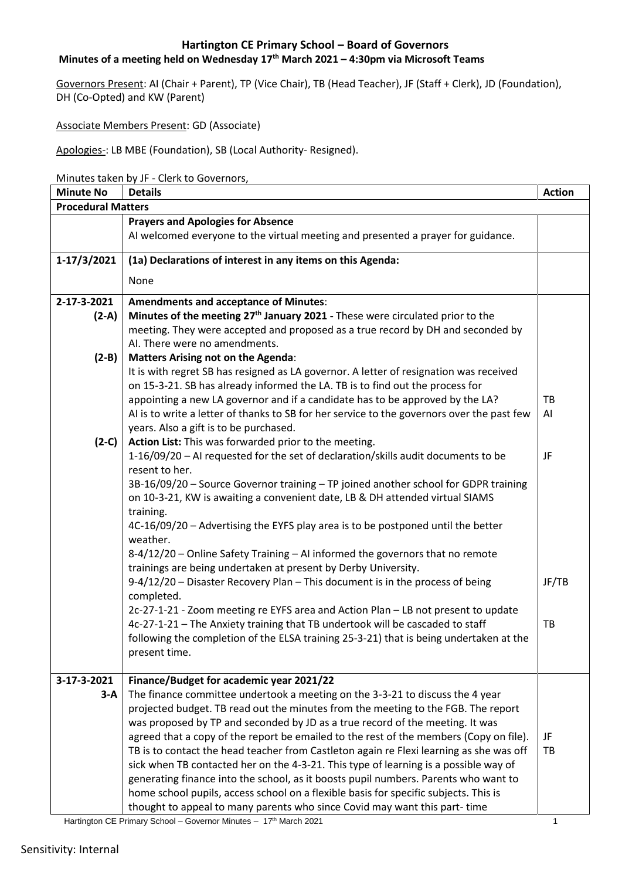#### **Minutes of a meeting held on Wednesday 17 th March 2021 – 4:30pm via Microsoft Teams**

Governors Present: AI (Chair + Parent), TP (Vice Chair), TB (Head Teacher), JF (Staff + Clerk), JD (Foundation), DH (Co-Opted) and KW (Parent)

Associate Members Present: GD (Associate)

Apologies-: LB MBE (Foundation), SB (Local Authority- Resigned).

Minutes taken by JF - Clerk to Governors,

| <b>Minute No</b>          | <b>Details</b>                                                                                                                       | <b>Action</b> |  |  |
|---------------------------|--------------------------------------------------------------------------------------------------------------------------------------|---------------|--|--|
| <b>Procedural Matters</b> |                                                                                                                                      |               |  |  |
|                           | <b>Prayers and Apologies for Absence</b>                                                                                             |               |  |  |
|                           | AI welcomed everyone to the virtual meeting and presented a prayer for guidance.                                                     |               |  |  |
| 1-17/3/2021               | (1a) Declarations of interest in any items on this Agenda:                                                                           |               |  |  |
|                           | None                                                                                                                                 |               |  |  |
| 2-17-3-2021               | <b>Amendments and acceptance of Minutes:</b>                                                                                         |               |  |  |
| $(2-A)$                   | Minutes of the meeting 27 <sup>th</sup> January 2021 - These were circulated prior to the                                            |               |  |  |
|                           | meeting. They were accepted and proposed as a true record by DH and seconded by                                                      |               |  |  |
|                           | AI. There were no amendments.                                                                                                        |               |  |  |
| $(2-B)$                   | <b>Matters Arising not on the Agenda:</b>                                                                                            |               |  |  |
|                           | It is with regret SB has resigned as LA governor. A letter of resignation was received                                               |               |  |  |
|                           | on 15-3-21. SB has already informed the LA. TB is to find out the process for                                                        |               |  |  |
|                           | appointing a new LA governor and if a candidate has to be approved by the LA?                                                        | TB            |  |  |
|                           | AI is to write a letter of thanks to SB for her service to the governors over the past few<br>years. Also a gift is to be purchased. | AI            |  |  |
| $(2-C)$                   | Action List: This was forwarded prior to the meeting.                                                                                |               |  |  |
|                           | 1-16/09/20 - AI requested for the set of declaration/skills audit documents to be                                                    | JF            |  |  |
|                           | resent to her.                                                                                                                       |               |  |  |
|                           | 3B-16/09/20 - Source Governor training - TP joined another school for GDPR training                                                  |               |  |  |
|                           | on 10-3-21, KW is awaiting a convenient date, LB & DH attended virtual SIAMS                                                         |               |  |  |
|                           | training.                                                                                                                            |               |  |  |
|                           | 4C-16/09/20 - Advertising the EYFS play area is to be postponed until the better                                                     |               |  |  |
|                           | weather.                                                                                                                             |               |  |  |
|                           | 8-4/12/20 - Online Safety Training - AI informed the governors that no remote                                                        |               |  |  |
|                           | trainings are being undertaken at present by Derby University.                                                                       |               |  |  |
|                           | 9-4/12/20 - Disaster Recovery Plan - This document is in the process of being                                                        | JF/TB         |  |  |
|                           | completed.                                                                                                                           |               |  |  |
|                           | 2c-27-1-21 - Zoom meeting re EYFS area and Action Plan - LB not present to update                                                    |               |  |  |
|                           | 4c-27-1-21 - The Anxiety training that TB undertook will be cascaded to staff                                                        | TB            |  |  |
|                           | following the completion of the ELSA training 25-3-21) that is being undertaken at the                                               |               |  |  |
|                           | present time.                                                                                                                        |               |  |  |
| 3-17-3-2021               | Finance/Budget for academic year 2021/22                                                                                             |               |  |  |
| $3-A$                     | The finance committee undertook a meeting on the 3-3-21 to discuss the 4 year                                                        |               |  |  |
|                           | projected budget. TB read out the minutes from the meeting to the FGB. The report                                                    |               |  |  |
|                           | was proposed by TP and seconded by JD as a true record of the meeting. It was                                                        |               |  |  |
|                           | agreed that a copy of the report be emailed to the rest of the members (Copy on file).                                               | JF            |  |  |
|                           | TB is to contact the head teacher from Castleton again re Flexi learning as she was off                                              | TB            |  |  |
|                           | sick when TB contacted her on the 4-3-21. This type of learning is a possible way of                                                 |               |  |  |
|                           | generating finance into the school, as it boosts pupil numbers. Parents who want to                                                  |               |  |  |
|                           | home school pupils, access school on a flexible basis for specific subjects. This is                                                 |               |  |  |
|                           | thought to appeal to many parents who since Covid may want this part-time                                                            |               |  |  |

Hartington CE Primary School – Governor Minutes – 17 th March 2021 1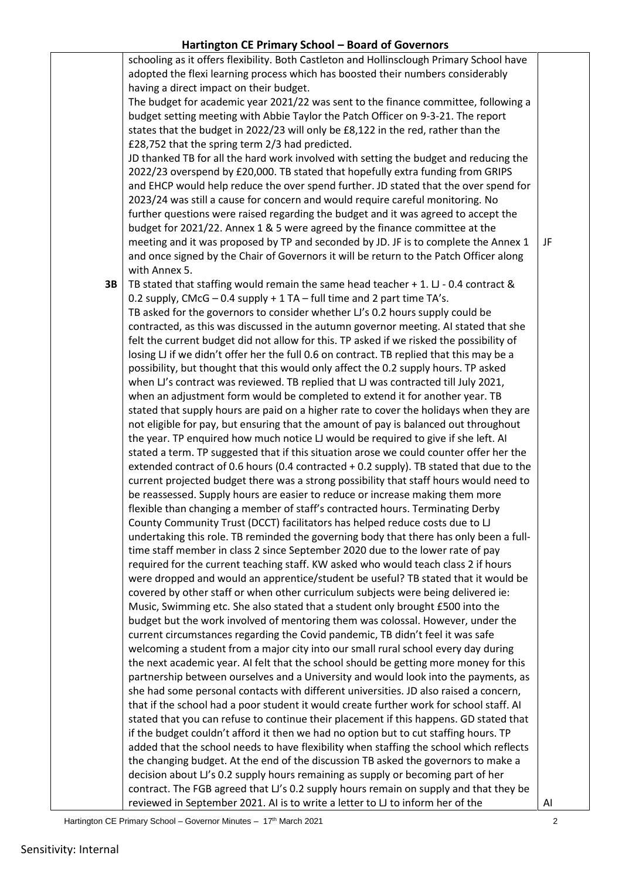|    | schooling as it offers flexibility. Both Castleton and Hollinsclough Primary School have                                                                                  |    |
|----|---------------------------------------------------------------------------------------------------------------------------------------------------------------------------|----|
|    | adopted the flexi learning process which has boosted their numbers considerably                                                                                           |    |
|    | having a direct impact on their budget.                                                                                                                                   |    |
|    | The budget for academic year 2021/22 was sent to the finance committee, following a                                                                                       |    |
|    | budget setting meeting with Abbie Taylor the Patch Officer on 9-3-21. The report                                                                                          |    |
|    | states that the budget in 2022/23 will only be £8,122 in the red, rather than the                                                                                         |    |
|    | £28,752 that the spring term 2/3 had predicted.                                                                                                                           |    |
|    | JD thanked TB for all the hard work involved with setting the budget and reducing the                                                                                     |    |
|    | 2022/23 overspend by £20,000. TB stated that hopefully extra funding from GRIPS                                                                                           |    |
|    | and EHCP would help reduce the over spend further. JD stated that the over spend for                                                                                      |    |
|    | 2023/24 was still a cause for concern and would require careful monitoring. No                                                                                            |    |
|    | further questions were raised regarding the budget and it was agreed to accept the                                                                                        |    |
|    | budget for 2021/22. Annex 1 & 5 were agreed by the finance committee at the                                                                                               |    |
|    | meeting and it was proposed by TP and seconded by JD. JF is to complete the Annex 1                                                                                       | JF |
|    | and once signed by the Chair of Governors it will be return to the Patch Officer along                                                                                    |    |
|    | with Annex 5.                                                                                                                                                             |    |
| 3B | TB stated that staffing would remain the same head teacher + 1. LJ - 0.4 contract &                                                                                       |    |
|    | 0.2 supply, CMcG $-$ 0.4 supply + 1 TA $-$ full time and 2 part time TA's.                                                                                                |    |
|    | TB asked for the governors to consider whether LJ's 0.2 hours supply could be                                                                                             |    |
|    | contracted, as this was discussed in the autumn governor meeting. AI stated that she                                                                                      |    |
|    | felt the current budget did not allow for this. TP asked if we risked the possibility of                                                                                  |    |
|    | losing LJ if we didn't offer her the full 0.6 on contract. TB replied that this may be a                                                                                  |    |
|    | possibility, but thought that this would only affect the 0.2 supply hours. TP asked                                                                                       |    |
|    | when LJ's contract was reviewed. TB replied that LJ was contracted till July 2021,                                                                                        |    |
|    | when an adjustment form would be completed to extend it for another year. TB                                                                                              |    |
|    | stated that supply hours are paid on a higher rate to cover the holidays when they are                                                                                    |    |
|    | not eligible for pay, but ensuring that the amount of pay is balanced out throughout                                                                                      |    |
|    | the year. TP enquired how much notice LJ would be required to give if she left. AI                                                                                        |    |
|    | stated a term. TP suggested that if this situation arose we could counter offer her the                                                                                   |    |
|    | extended contract of 0.6 hours (0.4 contracted $+$ 0.2 supply). TB stated that due to the                                                                                 |    |
|    | current projected budget there was a strong possibility that staff hours would need to                                                                                    |    |
|    | be reassessed. Supply hours are easier to reduce or increase making them more                                                                                             |    |
|    | flexible than changing a member of staff's contracted hours. Terminating Derby                                                                                            |    |
|    | County Community Trust (DCCT) facilitators has helped reduce costs due to LJ                                                                                              |    |
|    | undertaking this role. TB reminded the governing body that there has only been a full-                                                                                    |    |
|    | time staff member in class 2 since September 2020 due to the lower rate of pay                                                                                            |    |
|    | required for the current teaching staff. KW asked who would teach class 2 if hours                                                                                        |    |
|    | were dropped and would an apprentice/student be useful? TB stated that it would be                                                                                        |    |
|    | covered by other staff or when other curriculum subjects were being delivered ie:                                                                                         |    |
|    | Music, Swimming etc. She also stated that a student only brought £500 into the                                                                                            |    |
|    | budget but the work involved of mentoring them was colossal. However, under the                                                                                           |    |
|    | current circumstances regarding the Covid pandemic, TB didn't feel it was safe                                                                                            |    |
|    | welcoming a student from a major city into our small rural school every day during                                                                                        |    |
|    | the next academic year. Al felt that the school should be getting more money for this                                                                                     |    |
|    | partnership between ourselves and a University and would look into the payments, as                                                                                       |    |
|    | she had some personal contacts with different universities. JD also raised a concern,                                                                                     |    |
|    | that if the school had a poor student it would create further work for school staff. AI                                                                                   |    |
|    | stated that you can refuse to continue their placement if this happens. GD stated that                                                                                    |    |
|    | if the budget couldn't afford it then we had no option but to cut staffing hours. TP                                                                                      |    |
|    | added that the school needs to have flexibility when staffing the school which reflects                                                                                   |    |
|    | the changing budget. At the end of the discussion TB asked the governors to make a                                                                                        |    |
|    | decision about LJ's 0.2 supply hours remaining as supply or becoming part of her<br>contract. The FGB agreed that LJ's 0.2 supply hours remain on supply and that they be |    |
|    | reviewed in September 2021. Al is to write a letter to LJ to inform her of the                                                                                            | AI |
|    |                                                                                                                                                                           |    |

Hartington CE Primary School – Governor Minutes – 17<sup>th</sup> March 2021 **Carl 19th Contract 10 and 10** and 12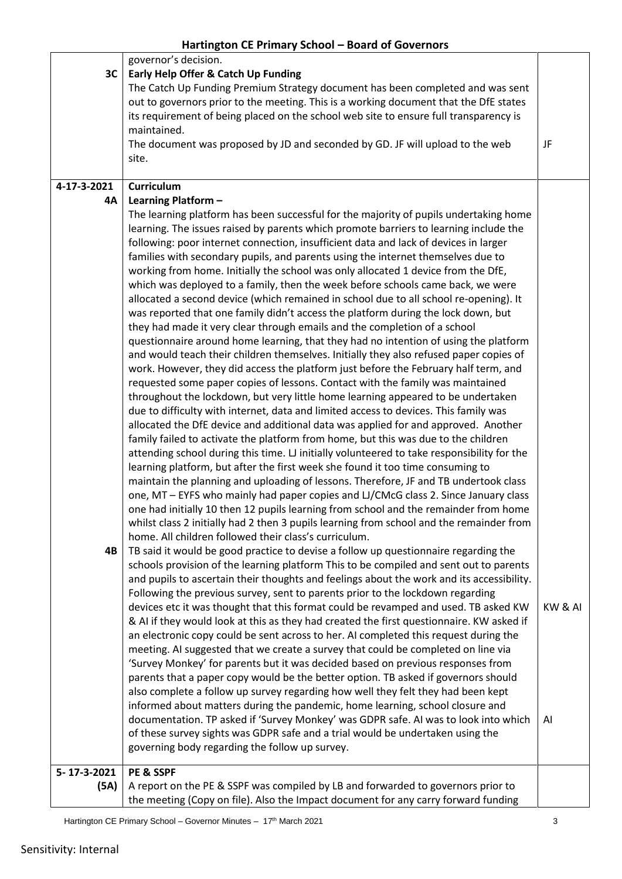|             | governor's decision.                                                                                                                                                             |         |
|-------------|----------------------------------------------------------------------------------------------------------------------------------------------------------------------------------|---------|
| 3C          | Early Help Offer & Catch Up Funding                                                                                                                                              |         |
|             | The Catch Up Funding Premium Strategy document has been completed and was sent                                                                                                   |         |
|             | out to governors prior to the meeting. This is a working document that the DfE states                                                                                            |         |
|             | its requirement of being placed on the school web site to ensure full transparency is                                                                                            |         |
|             | maintained.                                                                                                                                                                      |         |
|             | The document was proposed by JD and seconded by GD. JF will upload to the web<br>site.                                                                                           | JF      |
|             |                                                                                                                                                                                  |         |
| 4-17-3-2021 | <b>Curriculum</b>                                                                                                                                                                |         |
| 4A          | Learning Platform -                                                                                                                                                              |         |
|             | The learning platform has been successful for the majority of pupils undertaking home                                                                                            |         |
|             | learning. The issues raised by parents which promote barriers to learning include the                                                                                            |         |
|             | following: poor internet connection, insufficient data and lack of devices in larger                                                                                             |         |
|             | families with secondary pupils, and parents using the internet themselves due to                                                                                                 |         |
|             | working from home. Initially the school was only allocated 1 device from the DfE,                                                                                                |         |
|             | which was deployed to a family, then the week before schools came back, we were                                                                                                  |         |
|             | allocated a second device (which remained in school due to all school re-opening). It                                                                                            |         |
|             | was reported that one family didn't access the platform during the lock down, but                                                                                                |         |
|             | they had made it very clear through emails and the completion of a school                                                                                                        |         |
|             | questionnaire around home learning, that they had no intention of using the platform                                                                                             |         |
|             | and would teach their children themselves. Initially they also refused paper copies of                                                                                           |         |
|             | work. However, they did access the platform just before the February half term, and                                                                                              |         |
|             | requested some paper copies of lessons. Contact with the family was maintained                                                                                                   |         |
|             | throughout the lockdown, but very little home learning appeared to be undertaken                                                                                                 |         |
|             | due to difficulty with internet, data and limited access to devices. This family was                                                                                             |         |
|             | allocated the DfE device and additional data was applied for and approved. Another                                                                                               |         |
|             | family failed to activate the platform from home, but this was due to the children                                                                                               |         |
|             | attending school during this time. LJ initially volunteered to take responsibility for the                                                                                       |         |
|             | learning platform, but after the first week she found it too time consuming to                                                                                                   |         |
|             | maintain the planning and uploading of lessons. Therefore, JF and TB undertook class                                                                                             |         |
|             | one, MT - EYFS who mainly had paper copies and LJ/CMcG class 2. Since January class                                                                                              |         |
|             | one had initially 10 then 12 pupils learning from school and the remainder from home<br>whilst class 2 initially had 2 then 3 pupils learning from school and the remainder from |         |
|             | home. All children followed their class's curriculum.                                                                                                                            |         |
| 4B          | TB said it would be good practice to devise a follow up questionnaire regarding the                                                                                              |         |
|             | schools provision of the learning platform This to be compiled and sent out to parents                                                                                           |         |
|             | and pupils to ascertain their thoughts and feelings about the work and its accessibility.                                                                                        |         |
|             | Following the previous survey, sent to parents prior to the lockdown regarding                                                                                                   |         |
|             | devices etc it was thought that this format could be revamped and used. TB asked KW                                                                                              | KW & AI |
|             | & AI if they would look at this as they had created the first questionnaire. KW asked if                                                                                         |         |
|             | an electronic copy could be sent across to her. AI completed this request during the                                                                                             |         |
|             | meeting. AI suggested that we create a survey that could be completed on line via                                                                                                |         |
|             | 'Survey Monkey' for parents but it was decided based on previous responses from                                                                                                  |         |
|             | parents that a paper copy would be the better option. TB asked if governors should                                                                                               |         |
|             | also complete a follow up survey regarding how well they felt they had been kept                                                                                                 |         |
|             | informed about matters during the pandemic, home learning, school closure and                                                                                                    |         |
|             | documentation. TP asked if 'Survey Monkey' was GDPR safe. AI was to look into which                                                                                              | AI      |
|             | of these survey sights was GDPR safe and a trial would be undertaken using the                                                                                                   |         |
|             | governing body regarding the follow up survey.                                                                                                                                   |         |
| 5-17-3-2021 | PE & SSPF                                                                                                                                                                        |         |
| (5A)        | A report on the PE & SSPF was compiled by LB and forwarded to governors prior to                                                                                                 |         |
|             | the meeting (Copy on file). Also the Impact document for any carry forward funding                                                                                               |         |
|             |                                                                                                                                                                                  |         |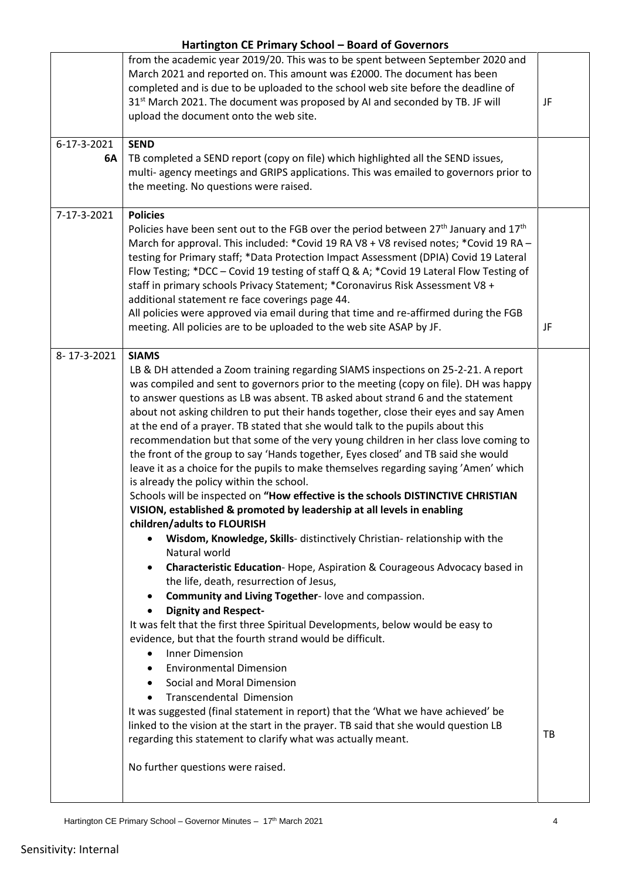| JF |
|----|
|    |
| JF |
| TB |
|    |